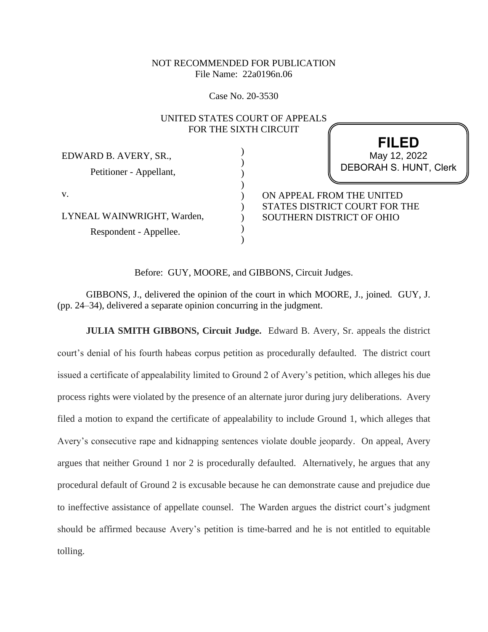# NOT RECOMMENDED FOR PUBLICATION File Name: 22a0196n.06

Case No. 20-3530

|                                                  | UNITED STATES COURT OF APPEALS<br>FOR THE SIXTH CIRCUIT<br><b>FILED</b> |
|--------------------------------------------------|-------------------------------------------------------------------------|
| EDWARD B. AVERY, SR.,<br>Petitioner - Appellant, | May 12, 2022<br><b>DEBORAH S. HUNT, Clerk</b>                           |
| V.                                               | ON APPEAL FROM THE UNITED<br>STATES DISTRICT COURT FOR THE              |
| LYNEAL WAINWRIGHT, Warden,                       | <b>SOUTHERN DISTRICT OF OHIO</b>                                        |
| Respondent - Appellee.                           |                                                                         |

Before: GUY, MOORE, and GIBBONS, Circuit Judges.

GIBBONS, J., delivered the opinion of the court in which MOORE, J., joined. GUY, J. (pp. 24–34), delivered a separate opinion concurring in the judgment.

**JULIA SMITH GIBBONS, Circuit Judge.** Edward B. Avery, Sr. appeals the district court's denial of his fourth habeas corpus petition as procedurally defaulted. The district court issued a certificate of appealability limited to Ground 2 of Avery's petition, which alleges his due process rights were violated by the presence of an alternate juror during jury deliberations. Avery filed a motion to expand the certificate of appealability to include Ground 1, which alleges that Avery's consecutive rape and kidnapping sentences violate double jeopardy. On appeal, Avery argues that neither Ground 1 nor 2 is procedurally defaulted. Alternatively, he argues that any procedural default of Ground 2 is excusable because he can demonstrate cause and prejudice due to ineffective assistance of appellate counsel. The Warden argues the district court's judgment should be affirmed because Avery's petition is time-barred and he is not entitled to equitable tolling.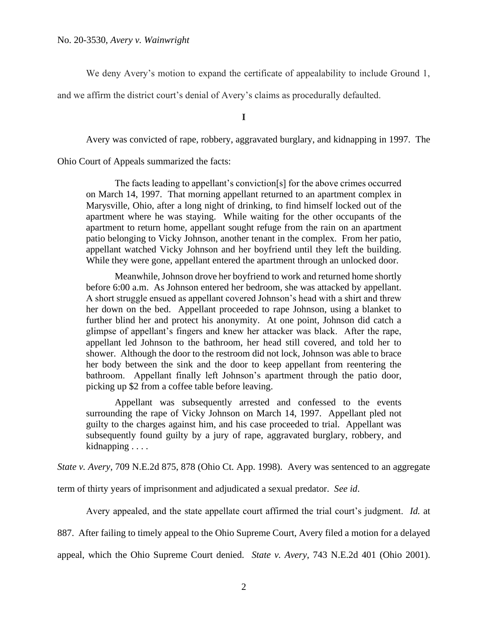We deny Avery's motion to expand the certificate of appealability to include Ground 1,

and we affirm the district court's denial of Avery's claims as procedurally defaulted.

**I**

Avery was convicted of rape, robbery, aggravated burglary, and kidnapping in 1997. The

Ohio Court of Appeals summarized the facts:

The facts leading to appellant's conviction[s] for the above crimes occurred on March 14, 1997. That morning appellant returned to an apartment complex in Marysville, Ohio, after a long night of drinking, to find himself locked out of the apartment where he was staying. While waiting for the other occupants of the apartment to return home, appellant sought refuge from the rain on an apartment patio belonging to Vicky Johnson, another tenant in the complex. From her patio, appellant watched Vicky Johnson and her boyfriend until they left the building. While they were gone, appellant entered the apartment through an unlocked door.

Meanwhile, Johnson drove her boyfriend to work and returned home shortly before 6:00 a.m. As Johnson entered her bedroom, she was attacked by appellant. A short struggle ensued as appellant covered Johnson's head with a shirt and threw her down on the bed. Appellant proceeded to rape Johnson, using a blanket to further blind her and protect his anonymity. At one point, Johnson did catch a glimpse of appellant's fingers and knew her attacker was black. After the rape, appellant led Johnson to the bathroom, her head still covered, and told her to shower. Although the door to the restroom did not lock, Johnson was able to brace her body between the sink and the door to keep appellant from reentering the bathroom. Appellant finally left Johnson's apartment through the patio door, picking up \$2 from a coffee table before leaving.

Appellant was subsequently arrested and confessed to the events surrounding the rape of Vicky Johnson on March 14, 1997. Appellant pled not guilty to the charges against him, and his case proceeded to trial. Appellant was subsequently found guilty by a jury of rape, aggravated burglary, robbery, and kidnapping . . . .

*State v. Avery*, 709 N.E.2d 875, 878 (Ohio Ct. App. 1998). Avery was sentenced to an aggregate

term of thirty years of imprisonment and adjudicated a sexual predator. *See id*.

Avery appealed, and the state appellate court affirmed the trial court's judgment. *Id.* at

887. After failing to timely appeal to the Ohio Supreme Court, Avery filed a motion for a delayed

appeal, which the Ohio Supreme Court denied. *State v. Avery*, 743 N.E.2d 401 (Ohio 2001).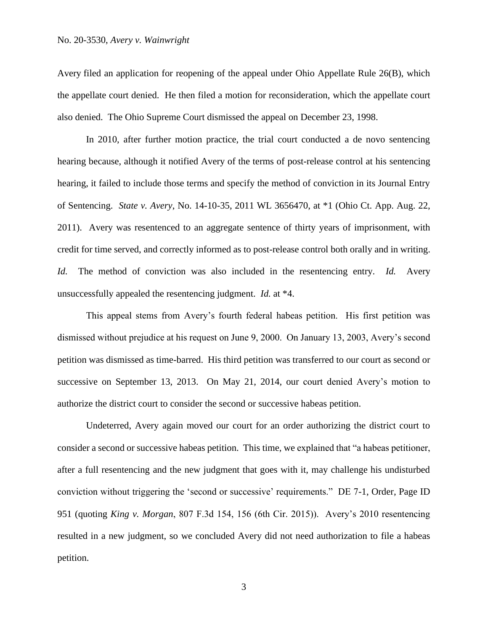Avery filed an application for reopening of the appeal under Ohio Appellate Rule 26(B), which the appellate court denied. He then filed a motion for reconsideration, which the appellate court also denied. The Ohio Supreme Court dismissed the appeal on December 23, 1998.

In 2010, after further motion practice, the trial court conducted a de novo sentencing hearing because, although it notified Avery of the terms of post-release control at his sentencing hearing, it failed to include those terms and specify the method of conviction in its Journal Entry of Sentencing. *State v. Avery*, No. 14-10-35, 2011 WL 3656470, at \*1 (Ohio Ct. App. Aug. 22, 2011). Avery was resentenced to an aggregate sentence of thirty years of imprisonment, with credit for time served, and correctly informed as to post-release control both orally and in writing. *Id.* The method of conviction was also included in the resentencing entry. *Id.* Avery unsuccessfully appealed the resentencing judgment. *Id.* at \*4.

This appeal stems from Avery's fourth federal habeas petition. His first petition was dismissed without prejudice at his request on June 9, 2000. On January 13, 2003, Avery's second petition was dismissed as time-barred. His third petition was transferred to our court as second or successive on September 13, 2013. On May 21, 2014, our court denied Avery's motion to authorize the district court to consider the second or successive habeas petition.

Undeterred, Avery again moved our court for an order authorizing the district court to consider a second or successive habeas petition. This time, we explained that "a habeas petitioner, after a full resentencing and the new judgment that goes with it, may challenge his undisturbed conviction without triggering the 'second or successive' requirements." DE 7-1, Order, Page ID 951 (quoting *King v. Morgan*, 807 F.3d 154, 156 (6th Cir. 2015)). Avery's 2010 resentencing resulted in a new judgment, so we concluded Avery did not need authorization to file a habeas petition.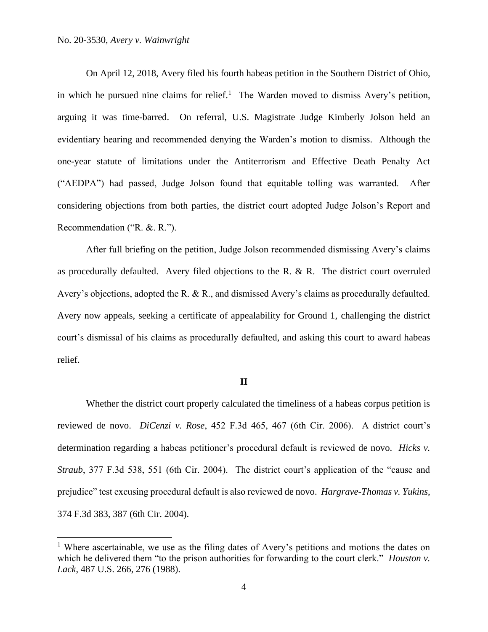# No. 20-3530, *Avery v. Wainwright*

On April 12, 2018, Avery filed his fourth habeas petition in the Southern District of Ohio, in which he pursued nine claims for relief.<sup>1</sup> The Warden moved to dismiss Avery's petition, arguing it was time-barred. On referral, U.S. Magistrate Judge Kimberly Jolson held an evidentiary hearing and recommended denying the Warden's motion to dismiss. Although the one-year statute of limitations under the Antiterrorism and Effective Death Penalty Act ("AEDPA") had passed, Judge Jolson found that equitable tolling was warranted. After considering objections from both parties, the district court adopted Judge Jolson's Report and Recommendation ("R. &. R.").

After full briefing on the petition, Judge Jolson recommended dismissing Avery's claims as procedurally defaulted. Avery filed objections to the R. & R. The district court overruled Avery's objections, adopted the R. & R., and dismissed Avery's claims as procedurally defaulted. Avery now appeals, seeking a certificate of appealability for Ground 1, challenging the district court's dismissal of his claims as procedurally defaulted, and asking this court to award habeas relief.

# **II**

Whether the district court properly calculated the timeliness of a habeas corpus petition is reviewed de novo. *DiCenzi v. Rose*, 452 F.3d 465, 467 (6th Cir. 2006). A district court's determination regarding a habeas petitioner's procedural default is reviewed de novo. *Hicks v. Straub*, 377 F.3d 538, 551 (6th Cir. 2004). The district court's application of the "cause and prejudice" test excusing procedural default is also reviewed de novo. *Hargrave-Thomas v. Yukins*, 374 F.3d 383, 387 (6th Cir. 2004).

<sup>&</sup>lt;sup>1</sup> Where ascertainable, we use as the filing dates of Avery's petitions and motions the dates on which he delivered them "to the prison authorities for forwarding to the court clerk." *Houston v. Lack*, 487 U.S. 266, 276 (1988).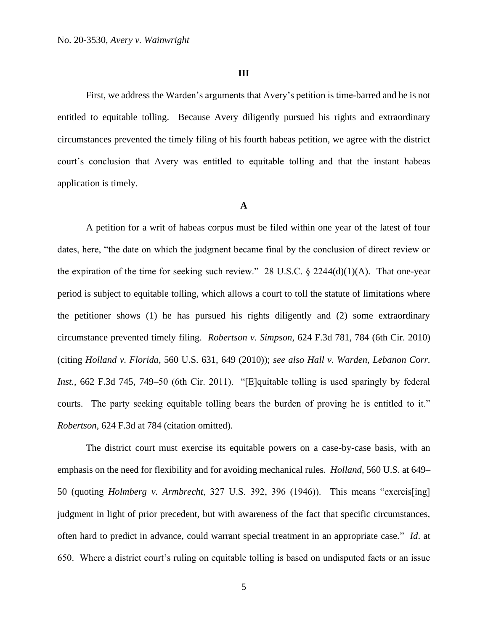#### **III**

First, we address the Warden's arguments that Avery's petition is time-barred and he is not entitled to equitable tolling. Because Avery diligently pursued his rights and extraordinary circumstances prevented the timely filing of his fourth habeas petition, we agree with the district court's conclusion that Avery was entitled to equitable tolling and that the instant habeas application is timely.

#### **A**

A petition for a writ of habeas corpus must be filed within one year of the latest of four dates, here, "the date on which the judgment became final by the conclusion of direct review or the expiration of the time for seeking such review." 28 U.S.C.  $\S$  2244(d)(1)(A). That one-year period is subject to equitable tolling, which allows a court to toll the statute of limitations where the petitioner shows (1) he has pursued his rights diligently and (2) some extraordinary circumstance prevented timely filing. *Robertson v. Simpson*, 624 F.3d 781, 784 (6th Cir. 2010) (citing *Holland v. Florida*, 560 U.S. 631, 649 (2010)); *see also Hall v. Warden, Lebanon Corr. Inst.*, 662 F.3d 745, 749–50 (6th Cir. 2011). "[E]quitable tolling is used sparingly by federal courts. The party seeking equitable tolling bears the burden of proving he is entitled to it." *Robertson*, 624 F.3d at 784 (citation omitted).

The district court must exercise its equitable powers on a case-by-case basis, with an emphasis on the need for flexibility and for avoiding mechanical rules. *Holland*, 560 U.S. at 649– 50 (quoting *Holmberg v. Armbrecht*, 327 U.S. 392, 396 (1946)). This means "exercis[ing] judgment in light of prior precedent, but with awareness of the fact that specific circumstances, often hard to predict in advance, could warrant special treatment in an appropriate case." *Id*. at 650. Where a district court's ruling on equitable tolling is based on undisputed facts or an issue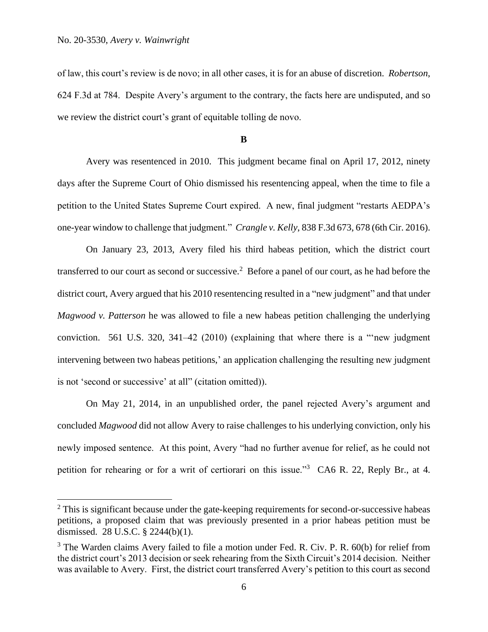of law, this court's review is de novo; in all other cases, it is for an abuse of discretion. *Robertson*, 624 F.3d at 784. Despite Avery's argument to the contrary, the facts here are undisputed, and so we review the district court's grant of equitable tolling de novo.

**B**

Avery was resentenced in 2010. This judgment became final on April 17, 2012, ninety days after the Supreme Court of Ohio dismissed his resentencing appeal, when the time to file a petition to the United States Supreme Court expired. A new, final judgment "restarts AEDPA's one-year window to challenge that judgment." *Crangle v. Kelly*, 838 F.3d 673, 678 (6th Cir. 2016).

On January 23, 2013, Avery filed his third habeas petition, which the district court transferred to our court as second or successive.<sup>2</sup> Before a panel of our court, as he had before the district court, Avery argued that his 2010 resentencing resulted in a "new judgment" and that under *Magwood v. Patterson* he was allowed to file a new habeas petition challenging the underlying conviction. 561 U.S. 320, 341–42 (2010) (explaining that where there is a "'new judgment intervening between two habeas petitions,' an application challenging the resulting new judgment is not 'second or successive' at all" (citation omitted)).

On May 21, 2014, in an unpublished order, the panel rejected Avery's argument and concluded *Magwood* did not allow Avery to raise challenges to his underlying conviction, only his newly imposed sentence. At this point, Avery "had no further avenue for relief, as he could not petition for rehearing or for a writ of certiorari on this issue."<sup>3</sup> CA6 R. 22, Reply Br., at 4.

 $2$  This is significant because under the gate-keeping requirements for second-or-successive habeas petitions, a proposed claim that was previously presented in a prior habeas petition must be dismissed. 28 U.S.C. § 2244(b)(1).

 $3$  The Warden claims Avery failed to file a motion under Fed. R. Civ. P. R.  $60(b)$  for relief from the district court's 2013 decision or seek rehearing from the Sixth Circuit's 2014 decision. Neither was available to Avery. First, the district court transferred Avery's petition to this court as second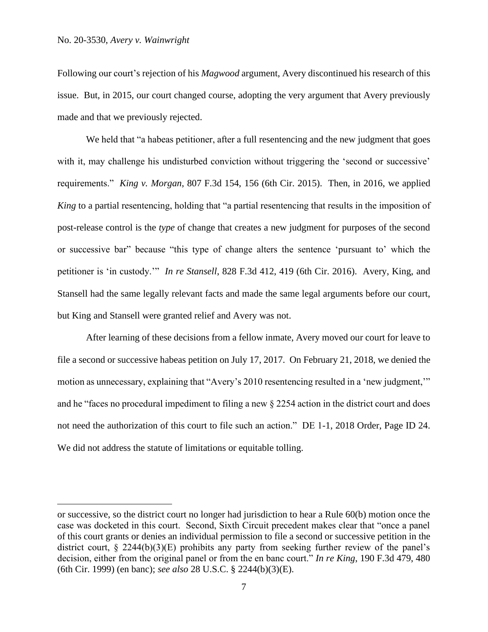Following our court's rejection of his *Magwood* argument, Avery discontinued his research of this issue. But, in 2015, our court changed course, adopting the very argument that Avery previously made and that we previously rejected.

We held that "a habeas petitioner, after a full resentencing and the new judgment that goes with it, may challenge his undisturbed conviction without triggering the 'second or successive' requirements." *King v. Morgan*, 807 F.3d 154, 156 (6th Cir. 2015). Then, in 2016, we applied *King* to a partial resentencing, holding that "a partial resentencing that results in the imposition of post-release control is the *type* of change that creates a new judgment for purposes of the second or successive bar" because "this type of change alters the sentence 'pursuant to' which the petitioner is 'in custody.'" *In re Stansell*, 828 F.3d 412, 419 (6th Cir. 2016). Avery, King, and Stansell had the same legally relevant facts and made the same legal arguments before our court, but King and Stansell were granted relief and Avery was not.

After learning of these decisions from a fellow inmate, Avery moved our court for leave to file a second or successive habeas petition on July 17, 2017. On February 21, 2018, we denied the motion as unnecessary, explaining that "Avery's 2010 resentencing resulted in a 'new judgment,'" and he "faces no procedural impediment to filing a new § 2254 action in the district court and does not need the authorization of this court to file such an action." DE 1-1, 2018 Order, Page ID 24. We did not address the statute of limitations or equitable tolling.

or successive, so the district court no longer had jurisdiction to hear a Rule 60(b) motion once the case was docketed in this court. Second, Sixth Circuit precedent makes clear that "once a panel of this court grants or denies an individual permission to file a second or successive petition in the district court,  $\S$  2244(b)(3)(E) prohibits any party from seeking further review of the panel's decision, either from the original panel or from the en banc court." *In re King*, 190 F.3d 479, 480 (6th Cir. 1999) (en banc); *see also* 28 U.S.C. § 2244(b)(3)(E).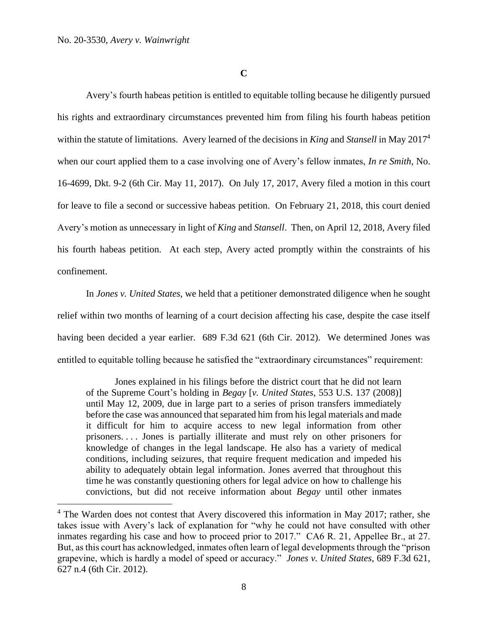**C**

Avery's fourth habeas petition is entitled to equitable tolling because he diligently pursued his rights and extraordinary circumstances prevented him from filing his fourth habeas petition within the statute of limitations. Avery learned of the decisions in *King* and *Stansell* in May 2017<sup>4</sup> when our court applied them to a case involving one of Avery's fellow inmates, *In re Smith*, No. 16-4699, Dkt. 9-2 (6th Cir. May 11, 2017). On July 17, 2017, Avery filed a motion in this court for leave to file a second or successive habeas petition. On February 21, 2018, this court denied Avery's motion as unnecessary in light of *King* and *Stansell*. Then, on April 12, 2018, Avery filed his fourth habeas petition. At each step, Avery acted promptly within the constraints of his confinement.

In *Jones v. United States*, we held that a petitioner demonstrated diligence when he sought relief within two months of learning of a court decision affecting his case, despite the case itself having been decided a year earlier. 689 F.3d 621 (6th Cir. 2012). We determined Jones was entitled to equitable tolling because he satisfied the "extraordinary circumstances" requirement:

Jones explained in his filings before the district court that he did not learn of the Supreme Court's holding in *Begay* [*v. United States*, 553 U.S. 137 (2008)] until May 12, 2009, due in large part to a series of prison transfers immediately before the case was announced that separated him from his legal materials and made it difficult for him to acquire access to new legal information from other prisoners. . . . Jones is partially illiterate and must rely on other prisoners for knowledge of changes in the legal landscape. He also has a variety of medical conditions, including seizures, that require frequent medication and impeded his ability to adequately obtain legal information. Jones averred that throughout this time he was constantly questioning others for legal advice on how to challenge his convictions, but did not receive information about *Begay* until other inmates

 $4$  The Warden does not contest that Avery discovered this information in May 2017; rather, she takes issue with Avery's lack of explanation for "why he could not have consulted with other inmates regarding his case and how to proceed prior to 2017." CA6 R. 21, Appellee Br., at 27. But, as this court has acknowledged, inmates often learn of legal developments through the "prison grapevine, which is hardly a model of speed or accuracy." *Jones v. United States*, 689 F.3d 621, 627 n.4 (6th Cir. 2012).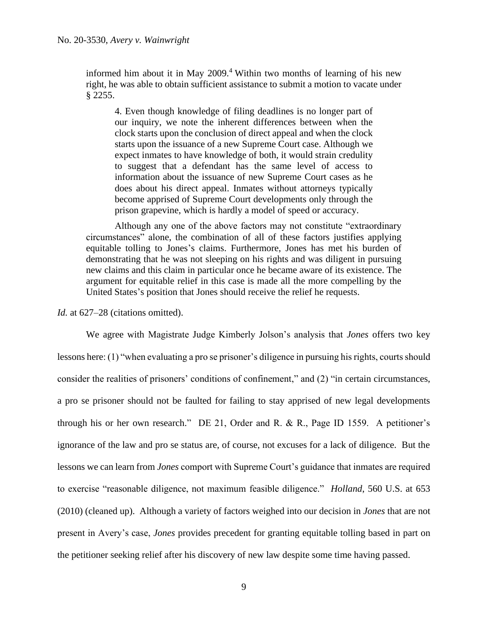informed him about it in May  $2009<sup>4</sup>$  Within two months of learning of his new right, he was able to obtain sufficient assistance to submit a motion to vacate under § 2255.

4. Even though knowledge of filing deadlines is no longer part of our inquiry, we note the inherent differences between when the clock starts upon the conclusion of direct appeal and when the clock starts upon the issuance of a new Supreme Court case. Although we expect inmates to have knowledge of both, it would strain credulity to suggest that a defendant has the same level of access to information about the issuance of new Supreme Court cases as he does about his direct appeal. Inmates without attorneys typically become apprised of Supreme Court developments only through the prison grapevine, which is hardly a model of speed or accuracy.

Although any one of the above factors may not constitute "extraordinary circumstances" alone, the combination of all of these factors justifies applying equitable tolling to Jones's claims. Furthermore, Jones has met his burden of demonstrating that he was not sleeping on his rights and was diligent in pursuing new claims and this claim in particular once he became aware of its existence. The argument for equitable relief in this case is made all the more compelling by the United States's position that Jones should receive the relief he requests.

*Id.* at 627–28 (citations omitted).

We agree with Magistrate Judge Kimberly Jolson's analysis that *Jones* offers two key lessons here: (1) "when evaluating a pro se prisoner's diligence in pursuing his rights, courts should consider the realities of prisoners' conditions of confinement," and (2) "in certain circumstances, a pro se prisoner should not be faulted for failing to stay apprised of new legal developments through his or her own research." DE 21, Order and R. & R., Page ID 1559. A petitioner's ignorance of the law and pro se status are, of course, not excuses for a lack of diligence. But the lessons we can learn from *Jones* comport with Supreme Court's guidance that inmates are required to exercise "reasonable diligence, not maximum feasible diligence." *Holland*, 560 U.S. at 653 (2010) (cleaned up). Although a variety of factors weighed into our decision in *Jones* that are not present in Avery's case, *Jones* provides precedent for granting equitable tolling based in part on the petitioner seeking relief after his discovery of new law despite some time having passed.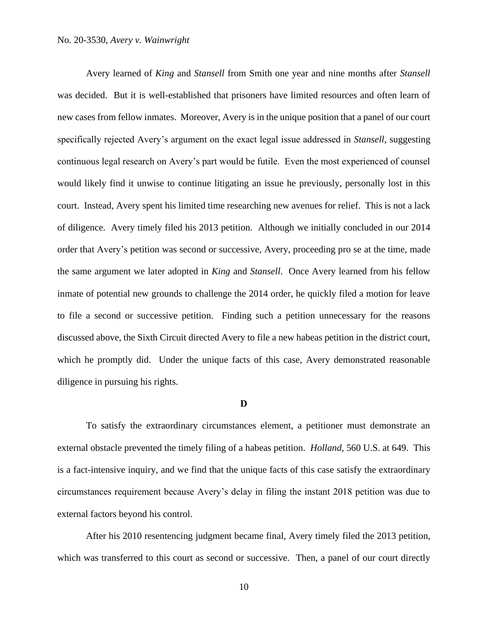# No. 20-3530, *Avery v. Wainwright*

Avery learned of *King* and *Stansell* from Smith one year and nine months after *Stansell*  was decided. But it is well-established that prisoners have limited resources and often learn of new cases from fellow inmates. Moreover, Avery is in the unique position that a panel of our court specifically rejected Avery's argument on the exact legal issue addressed in *Stansell*, suggesting continuous legal research on Avery's part would be futile. Even the most experienced of counsel would likely find it unwise to continue litigating an issue he previously, personally lost in this court. Instead, Avery spent his limited time researching new avenues for relief. This is not a lack of diligence. Avery timely filed his 2013 petition. Although we initially concluded in our 2014 order that Avery's petition was second or successive, Avery, proceeding pro se at the time, made the same argument we later adopted in *King* and *Stansell*. Once Avery learned from his fellow inmate of potential new grounds to challenge the 2014 order, he quickly filed a motion for leave to file a second or successive petition. Finding such a petition unnecessary for the reasons discussed above, the Sixth Circuit directed Avery to file a new habeas petition in the district court, which he promptly did. Under the unique facts of this case, Avery demonstrated reasonable diligence in pursuing his rights.

### **D**

To satisfy the extraordinary circumstances element, a petitioner must demonstrate an external obstacle prevented the timely filing of a habeas petition. *Holland*, 560 U.S. at 649. This is a fact-intensive inquiry, and we find that the unique facts of this case satisfy the extraordinary circumstances requirement because Avery's delay in filing the instant 2018 petition was due to external factors beyond his control.

After his 2010 resentencing judgment became final, Avery timely filed the 2013 petition, which was transferred to this court as second or successive. Then, a panel of our court directly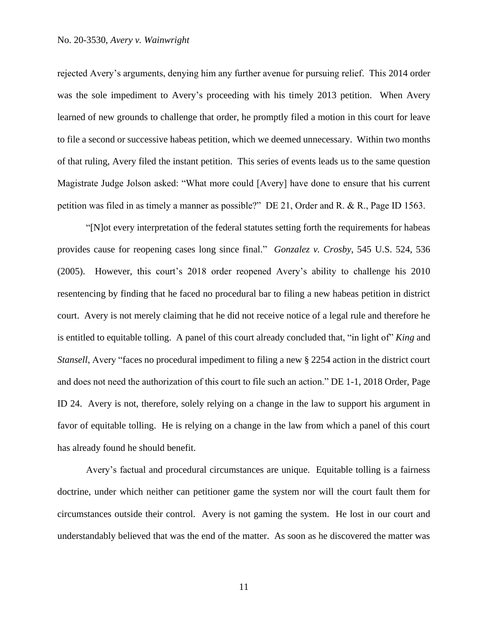rejected Avery's arguments, denying him any further avenue for pursuing relief. This 2014 order was the sole impediment to Avery's proceeding with his timely 2013 petition. When Avery learned of new grounds to challenge that order, he promptly filed a motion in this court for leave to file a second or successive habeas petition, which we deemed unnecessary. Within two months of that ruling, Avery filed the instant petition. This series of events leads us to the same question Magistrate Judge Jolson asked: "What more could [Avery] have done to ensure that his current petition was filed in as timely a manner as possible?" DE 21, Order and R. & R., Page ID 1563.

"[N]ot every interpretation of the federal statutes setting forth the requirements for habeas provides cause for reopening cases long since final." *Gonzalez v. Crosby*, 545 U.S. 524, 536 (2005). However, this court's 2018 order reopened Avery's ability to challenge his 2010 resentencing by finding that he faced no procedural bar to filing a new habeas petition in district court. Avery is not merely claiming that he did not receive notice of a legal rule and therefore he is entitled to equitable tolling. A panel of this court already concluded that, "in light of" *King* and *Stansell*, Avery "faces no procedural impediment to filing a new § 2254 action in the district court and does not need the authorization of this court to file such an action." DE 1-1, 2018 Order, Page ID 24. Avery is not, therefore, solely relying on a change in the law to support his argument in favor of equitable tolling. He is relying on a change in the law from which a panel of this court has already found he should benefit.

Avery's factual and procedural circumstances are unique. Equitable tolling is a fairness doctrine, under which neither can petitioner game the system nor will the court fault them for circumstances outside their control. Avery is not gaming the system. He lost in our court and understandably believed that was the end of the matter. As soon as he discovered the matter was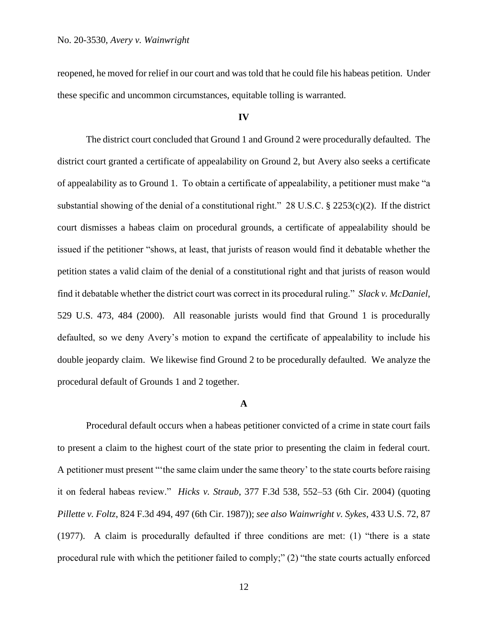reopened, he moved for relief in our court and was told that he could file his habeas petition. Under these specific and uncommon circumstances, equitable tolling is warranted.

#### **IV**

The district court concluded that Ground 1 and Ground 2 were procedurally defaulted. The district court granted a certificate of appealability on Ground 2, but Avery also seeks a certificate of appealability as to Ground 1. To obtain a certificate of appealability, a petitioner must make "a substantial showing of the denial of a constitutional right." 28 U.S.C. § 2253(c)(2). If the district court dismisses a habeas claim on procedural grounds, a certificate of appealability should be issued if the petitioner "shows, at least, that jurists of reason would find it debatable whether the petition states a valid claim of the denial of a constitutional right and that jurists of reason would find it debatable whether the district court was correct in its procedural ruling." *Slack v. McDaniel*, 529 U.S. 473, 484 (2000). All reasonable jurists would find that Ground 1 is procedurally defaulted, so we deny Avery's motion to expand the certificate of appealability to include his double jeopardy claim. We likewise find Ground 2 to be procedurally defaulted. We analyze the procedural default of Grounds 1 and 2 together.

### **A**

Procedural default occurs when a habeas petitioner convicted of a crime in state court fails to present a claim to the highest court of the state prior to presenting the claim in federal court. A petitioner must present "'the same claim under the same theory' to the state courts before raising it on federal habeas review." *Hicks v. Straub*, 377 F.3d 538, 552–53 (6th Cir. 2004) (quoting *Pillette v. Foltz*, 824 F.3d 494, 497 (6th Cir. 1987)); *see also Wainwright v. Sykes*, 433 U.S. 72, 87 (1977). A claim is procedurally defaulted if three conditions are met: (1) "there is a state procedural rule with which the petitioner failed to comply;" (2) "the state courts actually enforced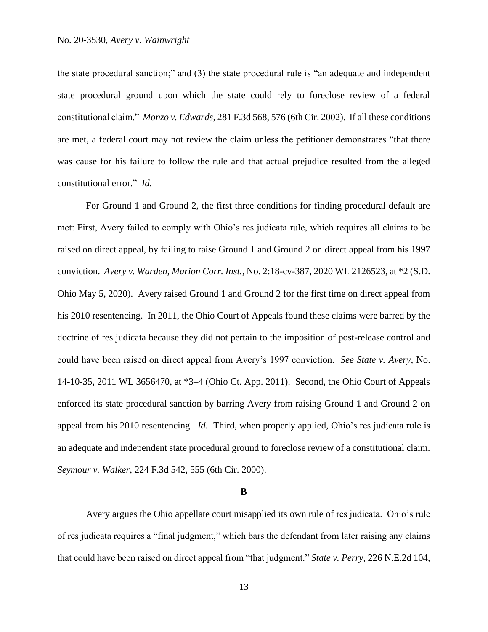the state procedural sanction;" and (3) the state procedural rule is "an adequate and independent state procedural ground upon which the state could rely to foreclose review of a federal constitutional claim." *Monzo v. Edwards*, 281 F.3d 568, 576 (6th Cir. 2002). If all these conditions are met, a federal court may not review the claim unless the petitioner demonstrates "that there was cause for his failure to follow the rule and that actual prejudice resulted from the alleged constitutional error." *Id.*

For Ground 1 and Ground 2, the first three conditions for finding procedural default are met: First, Avery failed to comply with Ohio's res judicata rule, which requires all claims to be raised on direct appeal, by failing to raise Ground 1 and Ground 2 on direct appeal from his 1997 conviction. *Avery v. Warden, Marion Corr. Inst.*, No. 2:18-cv-387, 2020 WL 2126523, at \*2 (S.D. Ohio May 5, 2020). Avery raised Ground 1 and Ground 2 for the first time on direct appeal from his 2010 resentencing. In 2011, the Ohio Court of Appeals found these claims were barred by the doctrine of res judicata because they did not pertain to the imposition of post-release control and could have been raised on direct appeal from Avery's 1997 conviction. *See State v. Avery*, No. 14-10-35, 2011 WL 3656470, at \*3–4 (Ohio Ct. App. 2011). Second, the Ohio Court of Appeals enforced its state procedural sanction by barring Avery from raising Ground 1 and Ground 2 on appeal from his 2010 resentencing. *Id.* Third, when properly applied, Ohio's res judicata rule is an adequate and independent state procedural ground to foreclose review of a constitutional claim. *Seymour v. Walker*, 224 F.3d 542, 555 (6th Cir. 2000).

#### **B**

Avery argues the Ohio appellate court misapplied its own rule of res judicata. Ohio's rule of res judicata requires a "final judgment," which bars the defendant from later raising any claims that could have been raised on direct appeal from "that judgment." *State v. Perry*, 226 N.E.2d 104,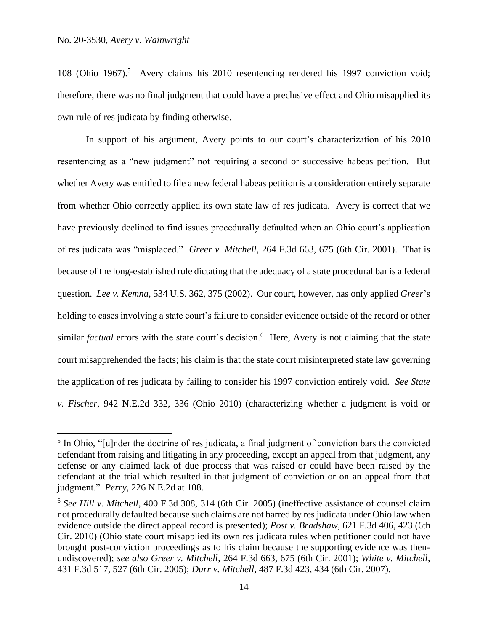108 (Ohio 1967). 5 Avery claims his 2010 resentencing rendered his 1997 conviction void; therefore, there was no final judgment that could have a preclusive effect and Ohio misapplied its own rule of res judicata by finding otherwise.

In support of his argument, Avery points to our court's characterization of his 2010 resentencing as a "new judgment" not requiring a second or successive habeas petition. But whether Avery was entitled to file a new federal habeas petition is a consideration entirely separate from whether Ohio correctly applied its own state law of res judicata. Avery is correct that we have previously declined to find issues procedurally defaulted when an Ohio court's application of res judicata was "misplaced." *Greer v. Mitchell*, 264 F.3d 663, 675 (6th Cir. 2001). That is because of the long-established rule dictating that the adequacy of a state procedural bar is a federal question. *Lee v. Kemna*, 534 U.S. 362, 375 (2002). Our court, however, has only applied *Greer*'s holding to cases involving a state court's failure to consider evidence outside of the record or other similar *factual* errors with the state court's decision.<sup>6</sup> Here, Avery is not claiming that the state court misapprehended the facts; his claim is that the state court misinterpreted state law governing the application of res judicata by failing to consider his 1997 conviction entirely void. *See State v. Fischer*, 942 N.E.2d 332, 336 (Ohio 2010) (characterizing whether a judgment is void or

<sup>&</sup>lt;sup>5</sup> In Ohio, "[u]nder the doctrine of res judicata, a final judgment of conviction bars the convicted defendant from raising and litigating in any proceeding, except an appeal from that judgment, any defense or any claimed lack of due process that was raised or could have been raised by the defendant at the trial which resulted in that judgment of conviction or on an appeal from that judgment." *Perry*, 226 N.E.2d at 108.

<sup>6</sup> *See Hill v. Mitchell*, 400 F.3d 308, 314 (6th Cir. 2005) (ineffective assistance of counsel claim not procedurally defaulted because such claims are not barred by res judicata under Ohio law when evidence outside the direct appeal record is presented); *Post v. Bradshaw*, 621 F.3d 406, 423 (6th Cir. 2010) (Ohio state court misapplied its own res judicata rules when petitioner could not have brought post-conviction proceedings as to his claim because the supporting evidence was thenundiscovered); *see also Greer v. Mitchell*, 264 F.3d 663, 675 (6th Cir. 2001); *White v. Mitchell*, 431 F.3d 517, 527 (6th Cir. 2005); *Durr v. Mitchell*, 487 F.3d 423, 434 (6th Cir. 2007).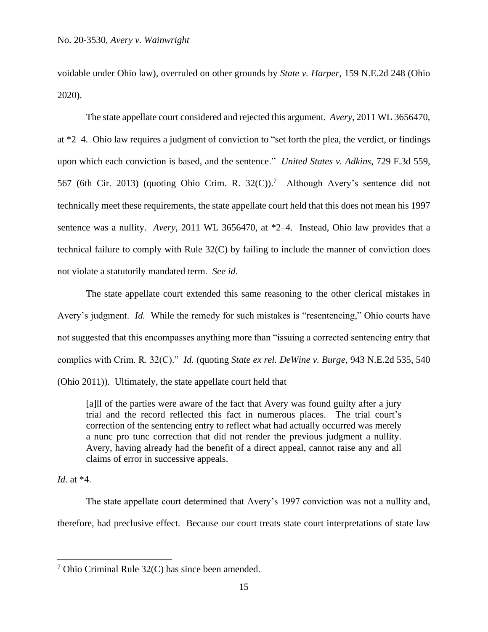voidable under Ohio law), overruled on other grounds by *State v. Harper*, 159 N.E.2d 248 (Ohio 2020).

The state appellate court considered and rejected this argument. *Avery*, 2011 WL 3656470, at \*2–4. Ohio law requires a judgment of conviction to "set forth the plea, the verdict, or findings upon which each conviction is based, and the sentence." *United States v. Adkins*, 729 F.3d 559, 567 (6th Cir. 2013) (quoting Ohio Crim. R. 32(C)).<sup>7</sup> Although Avery's sentence did not technically meet these requirements, the state appellate court held that this does not mean his 1997 sentence was a nullity. *Avery*, 2011 WL 3656470, at \*2–4. Instead, Ohio law provides that a technical failure to comply with Rule 32(C) by failing to include the manner of conviction does not violate a statutorily mandated term. *See id.*

The state appellate court extended this same reasoning to the other clerical mistakes in Avery's judgment. *Id.* While the remedy for such mistakes is "resentencing," Ohio courts have not suggested that this encompasses anything more than "issuing a corrected sentencing entry that complies with Crim. R. 32(C)." *Id.* (quoting *State ex rel. DeWine v. Burge*, 943 N.E.2d 535, 540 (Ohio 2011)). Ultimately, the state appellate court held that

[a]ll of the parties were aware of the fact that Avery was found guilty after a jury trial and the record reflected this fact in numerous places. The trial court's correction of the sentencing entry to reflect what had actually occurred was merely a nunc pro tunc correction that did not render the previous judgment a nullity. Avery, having already had the benefit of a direct appeal, cannot raise any and all claims of error in successive appeals.

*Id.* at \*4.

The state appellate court determined that Avery's 1997 conviction was not a nullity and, therefore, had preclusive effect. Because our court treats state court interpretations of state law

 $7$  Ohio Criminal Rule 32(C) has since been amended.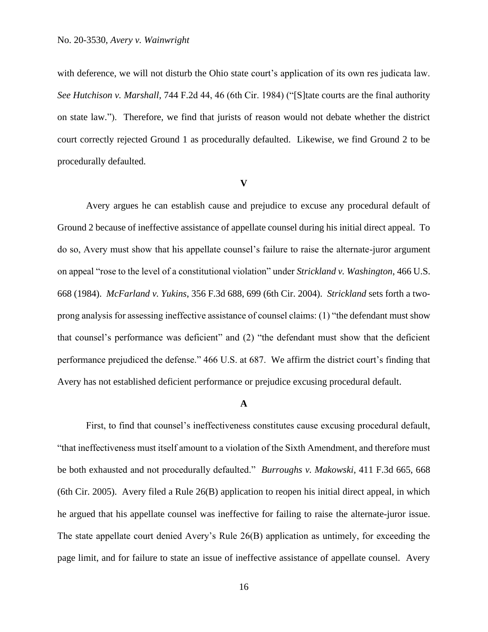with deference, we will not disturb the Ohio state court's application of its own res judicata law. *See Hutchison v. Marshall*, 744 F.2d 44, 46 (6th Cir. 1984) ("[S]tate courts are the final authority on state law."). Therefore, we find that jurists of reason would not debate whether the district court correctly rejected Ground 1 as procedurally defaulted. Likewise, we find Ground 2 to be procedurally defaulted.

#### **V**

Avery argues he can establish cause and prejudice to excuse any procedural default of Ground 2 because of ineffective assistance of appellate counsel during his initial direct appeal. To do so, Avery must show that his appellate counsel's failure to raise the alternate-juror argument on appeal "rose to the level of a constitutional violation" under *Strickland v. Washington*, 466 U.S. 668 (1984). *McFarland v. Yukins*, 356 F.3d 688, 699 (6th Cir. 2004). *Strickland* sets forth a twoprong analysis for assessing ineffective assistance of counsel claims: (1) "the defendant must show that counsel's performance was deficient" and (2) "the defendant must show that the deficient performance prejudiced the defense." 466 U.S. at 687. We affirm the district court's finding that Avery has not established deficient performance or prejudice excusing procedural default.

### **A**

First, to find that counsel's ineffectiveness constitutes cause excusing procedural default, "that ineffectiveness must itself amount to a violation of the Sixth Amendment, and therefore must be both exhausted and not procedurally defaulted." *Burroughs v. Makowski*, 411 F.3d 665, 668 (6th Cir. 2005). Avery filed a Rule 26(B) application to reopen his initial direct appeal, in which he argued that his appellate counsel was ineffective for failing to raise the alternate-juror issue. The state appellate court denied Avery's Rule 26(B) application as untimely, for exceeding the page limit, and for failure to state an issue of ineffective assistance of appellate counsel. Avery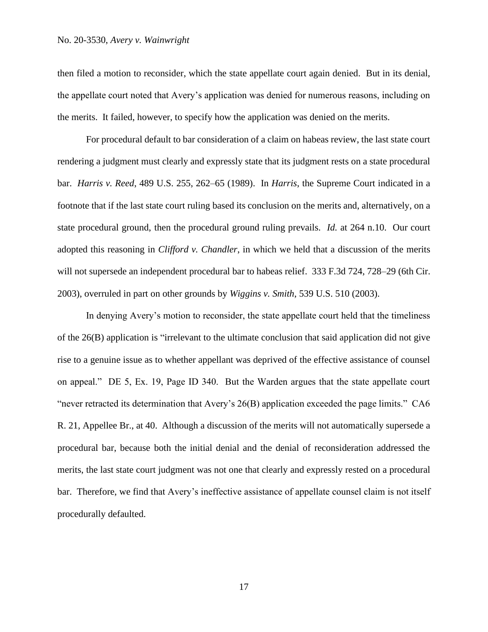# No. 20-3530, *Avery v. Wainwright*

then filed a motion to reconsider, which the state appellate court again denied. But in its denial, the appellate court noted that Avery's application was denied for numerous reasons, including on the merits. It failed, however, to specify how the application was denied on the merits.

For procedural default to bar consideration of a claim on habeas review, the last state court rendering a judgment must clearly and expressly state that its judgment rests on a state procedural bar. *Harris v. Reed*, 489 U.S. 255, 262–65 (1989). In *Harris*, the Supreme Court indicated in a footnote that if the last state court ruling based its conclusion on the merits and, alternatively, on a state procedural ground, then the procedural ground ruling prevails. *Id.* at 264 n.10. Our court adopted this reasoning in *Clifford v. Chandler*, in which we held that a discussion of the merits will not supersede an independent procedural bar to habeas relief. 333 F.3d 724, 728–29 (6th Cir. 2003), overruled in part on other grounds by *Wiggins v. Smith*, 539 U.S. 510 (2003).

In denying Avery's motion to reconsider, the state appellate court held that the timeliness of the 26(B) application is "irrelevant to the ultimate conclusion that said application did not give rise to a genuine issue as to whether appellant was deprived of the effective assistance of counsel on appeal." DE 5, Ex. 19, Page ID 340. But the Warden argues that the state appellate court "never retracted its determination that Avery's 26(B) application exceeded the page limits." CA6 R. 21, Appellee Br., at 40. Although a discussion of the merits will not automatically supersede a procedural bar, because both the initial denial and the denial of reconsideration addressed the merits, the last state court judgment was not one that clearly and expressly rested on a procedural bar. Therefore, we find that Avery's ineffective assistance of appellate counsel claim is not itself procedurally defaulted.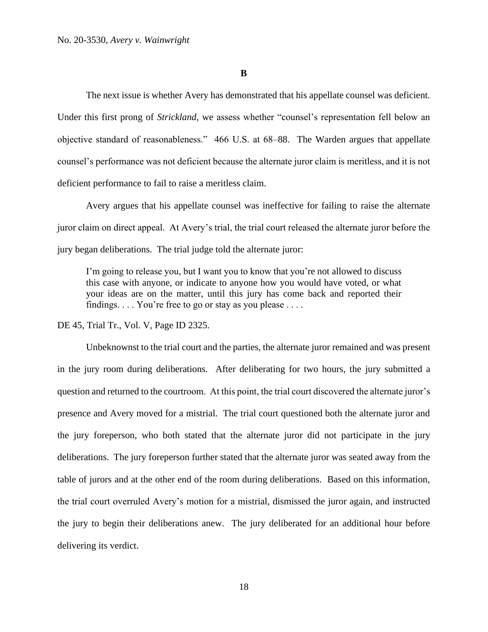The next issue is whether Avery has demonstrated that his appellate counsel was deficient. Under this first prong of *Strickland*, we assess whether "counsel's representation fell below an objective standard of reasonableness." 466 U.S. at 68–88. The Warden argues that appellate counsel's performance was not deficient because the alternate juror claim is meritless, and it is not deficient performance to fail to raise a meritless claim.

Avery argues that his appellate counsel was ineffective for failing to raise the alternate juror claim on direct appeal. At Avery's trial, the trial court released the alternate juror before the jury began deliberations. The trial judge told the alternate juror:

I'm going to release you, but I want you to know that you're not allowed to discuss this case with anyone, or indicate to anyone how you would have voted, or what your ideas are on the matter, until this jury has come back and reported their findings.  $\ldots$  You're free to go or stay as you please  $\ldots$ .

DE 45, Trial Tr., Vol. V, Page ID 2325.

Unbeknownst to the trial court and the parties, the alternate juror remained and was present in the jury room during deliberations. After deliberating for two hours, the jury submitted a question and returned to the courtroom. At this point, the trial court discovered the alternate juror's presence and Avery moved for a mistrial. The trial court questioned both the alternate juror and the jury foreperson, who both stated that the alternate juror did not participate in the jury deliberations. The jury foreperson further stated that the alternate juror was seated away from the table of jurors and at the other end of the room during deliberations. Based on this information, the trial court overruled Avery's motion for a mistrial, dismissed the juror again, and instructed the jury to begin their deliberations anew. The jury deliberated for an additional hour before delivering its verdict.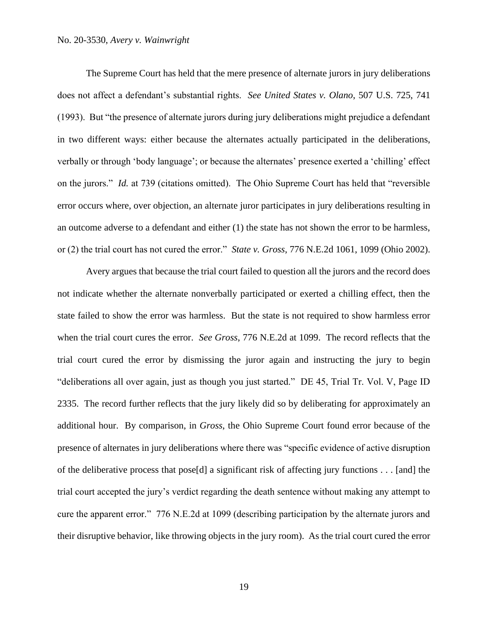# No. 20-3530, *Avery v. Wainwright*

The Supreme Court has held that the mere presence of alternate jurors in jury deliberations does not affect a defendant's substantial rights. *See United States v. Olano*, 507 U.S. 725, 741 (1993). But "the presence of alternate jurors during jury deliberations might prejudice a defendant in two different ways: either because the alternates actually participated in the deliberations, verbally or through 'body language'; or because the alternates' presence exerted a 'chilling' effect on the jurors." *Id.* at 739 (citations omitted). The Ohio Supreme Court has held that "reversible error occurs where, over objection, an alternate juror participates in jury deliberations resulting in an outcome adverse to a defendant and either (1) the state has not shown the error to be harmless, or (2) the trial court has not cured the error." *State v. Gross*, 776 N.E.2d 1061, 1099 (Ohio 2002).

Avery argues that because the trial court failed to question all the jurors and the record does not indicate whether the alternate nonverbally participated or exerted a chilling effect, then the state failed to show the error was harmless. But the state is not required to show harmless error when the trial court cures the error. *See Gross*, 776 N.E.2d at 1099. The record reflects that the trial court cured the error by dismissing the juror again and instructing the jury to begin "deliberations all over again, just as though you just started." DE 45, Trial Tr. Vol. V, Page ID 2335. The record further reflects that the jury likely did so by deliberating for approximately an additional hour. By comparison, in *Gross*, the Ohio Supreme Court found error because of the presence of alternates in jury deliberations where there was "specific evidence of active disruption of the deliberative process that pose[d] a significant risk of affecting jury functions . . . [and] the trial court accepted the jury's verdict regarding the death sentence without making any attempt to cure the apparent error." 776 N.E.2d at 1099 (describing participation by the alternate jurors and their disruptive behavior, like throwing objects in the jury room). As the trial court cured the error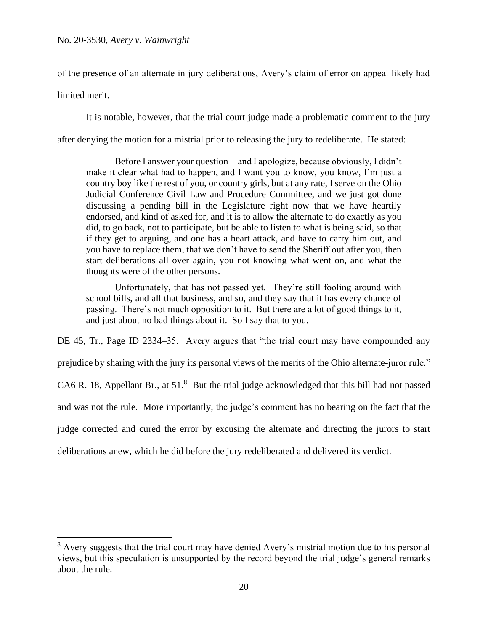of the presence of an alternate in jury deliberations, Avery's claim of error on appeal likely had

limited merit.

It is notable, however, that the trial court judge made a problematic comment to the jury

after denying the motion for a mistrial prior to releasing the jury to redeliberate. He stated:

Before I answer your question—and I apologize, because obviously, I didn't make it clear what had to happen, and I want you to know, you know, I'm just a country boy like the rest of you, or country girls, but at any rate, I serve on the Ohio Judicial Conference Civil Law and Procedure Committee, and we just got done discussing a pending bill in the Legislature right now that we have heartily endorsed, and kind of asked for, and it is to allow the alternate to do exactly as you did, to go back, not to participate, but be able to listen to what is being said, so that if they get to arguing, and one has a heart attack, and have to carry him out, and you have to replace them, that we don't have to send the Sheriff out after you, then start deliberations all over again, you not knowing what went on, and what the thoughts were of the other persons.

Unfortunately, that has not passed yet. They're still fooling around with school bills, and all that business, and so, and they say that it has every chance of passing. There's not much opposition to it. But there are a lot of good things to it, and just about no bad things about it. So I say that to you.

DE 45, Tr., Page ID 2334–35. Avery argues that "the trial court may have compounded any

prejudice by sharing with the jury its personal views of the merits of the Ohio alternate-juror rule."

CA6 R. 18, Appellant Br., at 51.<sup>8</sup> But the trial judge acknowledged that this bill had not passed

and was not the rule. More importantly, the judge's comment has no bearing on the fact that the

judge corrected and cured the error by excusing the alternate and directing the jurors to start

deliberations anew, which he did before the jury redeliberated and delivered its verdict.

<sup>&</sup>lt;sup>8</sup> Avery suggests that the trial court may have denied Avery's mistrial motion due to his personal views, but this speculation is unsupported by the record beyond the trial judge's general remarks about the rule.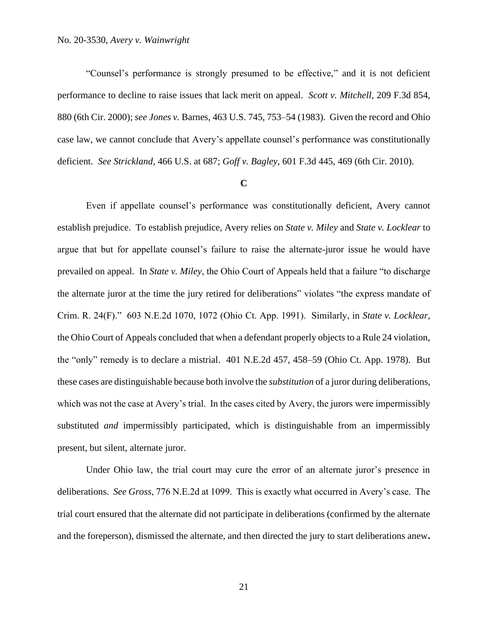"Counsel's performance is strongly presumed to be effective," and it is not deficient performance to decline to raise issues that lack merit on appeal. *Scott v. Mitchell*, 209 F.3d 854, 880 (6th Cir. 2000); *see Jones v.* Barnes, 463 U.S. 745, 753–54 (1983). Given the record and Ohio case law, we cannot conclude that Avery's appellate counsel's performance was constitutionally deficient. *See Strickland*, 466 U.S. at 687; *Goff v. Bagley*, 601 F.3d 445, 469 (6th Cir. 2010).

#### **C**

Even if appellate counsel's performance was constitutionally deficient, Avery cannot establish prejudice. To establish prejudice, Avery relies on *State v. Miley* and *State v. Locklear* to argue that but for appellate counsel's failure to raise the alternate-juror issue he would have prevailed on appeal. In *State v. Miley*, the Ohio Court of Appeals held that a failure "to discharge the alternate juror at the time the jury retired for deliberations" violates "the express mandate of Crim. R. 24(F)." 603 N.E.2d 1070, 1072 (Ohio Ct. App. 1991). Similarly, in *State v. Locklear*, the Ohio Court of Appeals concluded that when a defendant properly objects to a Rule 24 violation, the "only" remedy is to declare a mistrial. 401 N.E.2d 457, 458–59 (Ohio Ct. App. 1978). But these cases are distinguishable because both involve the *substitution* of a juror during deliberations, which was not the case at Avery's trial. In the cases cited by Avery, the jurors were impermissibly substituted *and* impermissibly participated, which is distinguishable from an impermissibly present, but silent, alternate juror.

Under Ohio law, the trial court may cure the error of an alternate juror's presence in deliberations. *See Gross*, 776 N.E.2d at 1099. This is exactly what occurred in Avery's case. The trial court ensured that the alternate did not participate in deliberations (confirmed by the alternate and the foreperson), dismissed the alternate, and then directed the jury to start deliberations anew**.**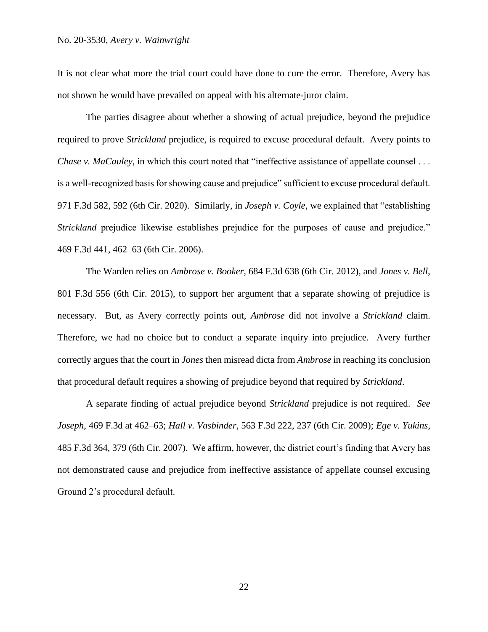It is not clear what more the trial court could have done to cure the error. Therefore, Avery has not shown he would have prevailed on appeal with his alternate-juror claim.

The parties disagree about whether a showing of actual prejudice, beyond the prejudice required to prove *Strickland* prejudice, is required to excuse procedural default. Avery points to *Chase v. MaCauley*, in which this court noted that "ineffective assistance of appellate counsel . . . is a well-recognized basis for showing cause and prejudice" sufficient to excuse procedural default. 971 F.3d 582, 592 (6th Cir. 2020). Similarly, in *Joseph v. Coyle*, we explained that "establishing *Strickland* prejudice likewise establishes prejudice for the purposes of cause and prejudice." 469 F.3d 441, 462–63 (6th Cir. 2006).

The Warden relies on *Ambrose v. Booker*, 684 F.3d 638 (6th Cir. 2012), and *Jones v. Bell*, 801 F.3d 556 (6th Cir. 2015), to support her argument that a separate showing of prejudice is necessary. But, as Avery correctly points out, *Ambrose* did not involve a *Strickland* claim. Therefore, we had no choice but to conduct a separate inquiry into prejudice. Avery further correctly argues that the court in *Jones* then misread dicta from *Ambrose* in reaching its conclusion that procedural default requires a showing of prejudice beyond that required by *Strickland*.

A separate finding of actual prejudice beyond *Strickland* prejudice is not required. *See Joseph*, 469 F.3d at 462–63; *Hall v. Vasbinder*, 563 F.3d 222, 237 (6th Cir. 2009); *Ege v. Yukins*, 485 F.3d 364, 379 (6th Cir. 2007). We affirm, however, the district court's finding that Avery has not demonstrated cause and prejudice from ineffective assistance of appellate counsel excusing Ground 2's procedural default.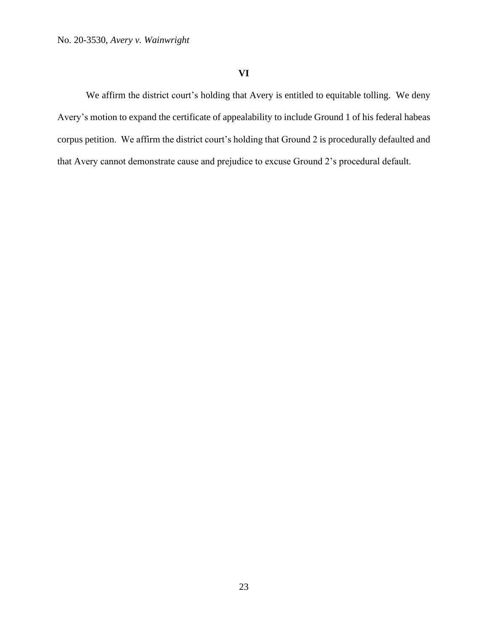# **VI**

We affirm the district court's holding that Avery is entitled to equitable tolling. We deny Avery's motion to expand the certificate of appealability to include Ground 1 of his federal habeas corpus petition. We affirm the district court's holding that Ground 2 is procedurally defaulted and that Avery cannot demonstrate cause and prejudice to excuse Ground 2's procedural default.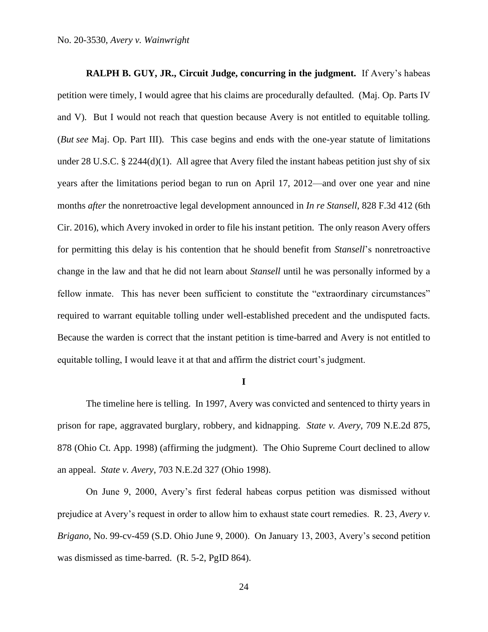**RALPH B. GUY, JR., Circuit Judge, concurring in the judgment.** If Avery's habeas petition were timely, I would agree that his claims are procedurally defaulted. (Maj. Op. Parts IV and V). But I would not reach that question because Avery is not entitled to equitable tolling. (*But see* Maj. Op. Part III). This case begins and ends with the one-year statute of limitations under 28 U.S.C. § 2244(d)(1). All agree that Avery filed the instant habeas petition just shy of six years after the limitations period began to run on April 17, 2012—and over one year and nine months *after* the nonretroactive legal development announced in *In re Stansell*, 828 F.3d 412 (6th Cir. 2016), which Avery invoked in order to file his instant petition. The only reason Avery offers for permitting this delay is his contention that he should benefit from *Stansell*'s nonretroactive change in the law and that he did not learn about *Stansell* until he was personally informed by a fellow inmate. This has never been sufficient to constitute the "extraordinary circumstances" required to warrant equitable tolling under well-established precedent and the undisputed facts. Because the warden is correct that the instant petition is time-barred and Avery is not entitled to equitable tolling, I would leave it at that and affirm the district court's judgment.

### **I**

The timeline here is telling. In 1997, Avery was convicted and sentenced to thirty years in prison for rape, aggravated burglary, robbery, and kidnapping. *State v. Avery*, 709 N.E.2d 875, 878 (Ohio Ct. App. 1998) (affirming the judgment). The Ohio Supreme Court declined to allow an appeal. *State v. Avery*, 703 N.E.2d 327 (Ohio 1998).

On June 9, 2000, Avery's first federal habeas corpus petition was dismissed without prejudice at Avery's request in order to allow him to exhaust state court remedies. R. 23, *Avery v. Brigano*, No. 99-cv-459 (S.D. Ohio June 9, 2000). On January 13, 2003, Avery's second petition was dismissed as time-barred. (R. 5-2, PgID 864).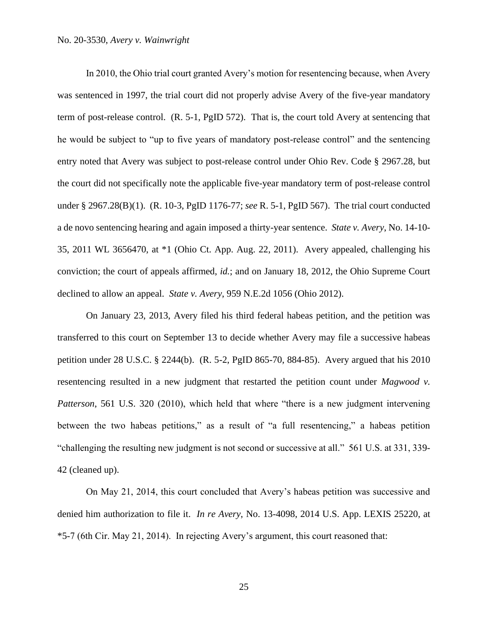# No. 20-3530, *Avery v. Wainwright*

In 2010, the Ohio trial court granted Avery's motion for resentencing because, when Avery was sentenced in 1997, the trial court did not properly advise Avery of the five-year mandatory term of post-release control. (R. 5-1, PgID 572). That is, the court told Avery at sentencing that he would be subject to "up to five years of mandatory post-release control" and the sentencing entry noted that Avery was subject to post-release control under Ohio Rev. Code § 2967.28, but the court did not specifically note the applicable five-year mandatory term of post-release control under § 2967.28(B)(1). (R. 10-3, PgID 1176-77; *see* R. 5-1, PgID 567). The trial court conducted a de novo sentencing hearing and again imposed a thirty-year sentence. *State v. Avery*, No. 14-10- 35, 2011 WL 3656470, at \*1 (Ohio Ct. App. Aug. 22, 2011). Avery appealed, challenging his conviction; the court of appeals affirmed, *id.*; and on January 18, 2012, the Ohio Supreme Court declined to allow an appeal. *State v. Avery*, 959 N.E.2d 1056 (Ohio 2012).

On January 23, 2013, Avery filed his third federal habeas petition, and the petition was transferred to this court on September 13 to decide whether Avery may file a successive habeas petition under 28 U.S.C. § 2244(b). (R. 5-2, PgID 865-70, 884-85). Avery argued that his 2010 resentencing resulted in a new judgment that restarted the petition count under *Magwood v. Patterson*, 561 U.S. 320 (2010), which held that where "there is a new judgment intervening between the two habeas petitions," as a result of "a full resentencing," a habeas petition "challenging the resulting new judgment is not second or successive at all." 561 U.S. at 331, 339- 42 (cleaned up).

On May 21, 2014, this court concluded that Avery's habeas petition was successive and denied him authorization to file it. *In re Avery*, No. 13-4098, 2014 U.S. App. LEXIS 25220, at \*5-7 (6th Cir. May 21, 2014). In rejecting Avery's argument, this court reasoned that:

25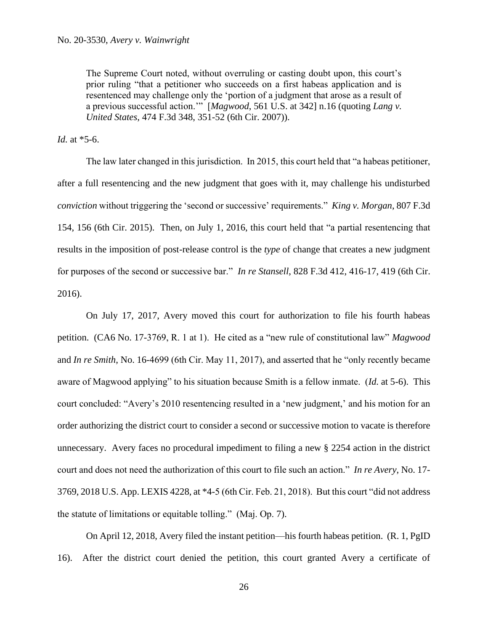The Supreme Court noted, without overruling or casting doubt upon, this court's prior ruling "that a petitioner who succeeds on a first habeas application and is resentenced may challenge only the 'portion of a judgment that arose as a result of a previous successful action.'" [*Magwood*, 561 U.S. at 342] n.16 (quoting *Lang v. United States*, 474 F.3d 348, 351-52 (6th Cir. 2007)).

*Id.* at \*5-6.

The law later changed in this jurisdiction. In 2015, this court held that "a habeas petitioner, after a full resentencing and the new judgment that goes with it, may challenge his undisturbed *conviction* without triggering the 'second or successive' requirements." *King v. Morgan*, 807 F.3d 154, 156 (6th Cir. 2015). Then, on July 1, 2016, this court held that "a partial resentencing that results in the imposition of post-release control is the *type* of change that creates a new judgment for purposes of the second or successive bar." *In re Stansell*, 828 F.3d 412, 416-17, 419 (6th Cir. 2016).

On July 17, 2017, Avery moved this court for authorization to file his fourth habeas petition. (CA6 No. 17-3769, R. 1 at 1). He cited as a "new rule of constitutional law" *Magwood* and *In re Smith*, No. 16-4699 (6th Cir. May 11, 2017), and asserted that he "only recently became aware of Magwood applying" to his situation because Smith is a fellow inmate. (*Id.* at 5-6). This court concluded: "Avery's 2010 resentencing resulted in a 'new judgment,' and his motion for an order authorizing the district court to consider a second or successive motion to vacate is therefore unnecessary. Avery faces no procedural impediment to filing a new § 2254 action in the district court and does not need the authorization of this court to file such an action." *In re Avery*, No. 17- 3769, 2018 U.S. App. LEXIS 4228, at \*4-5 (6th Cir. Feb. 21, 2018). But this court "did not address the statute of limitations or equitable tolling." (Maj. Op. 7).

On April 12, 2018, Avery filed the instant petition—his fourth habeas petition. (R. 1, PgID 16). After the district court denied the petition, this court granted Avery a certificate of

26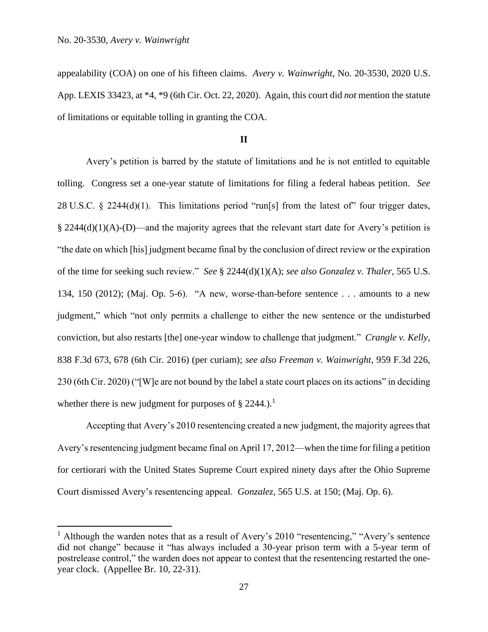appealability (COA) on one of his fifteen claims. *Avery v. Wainwright*, No. 20-3530, 2020 U.S. App. LEXIS 33423, at \*4, \*9 (6th Cir. Oct. 22, 2020). Again, this court did *not* mention the statute of limitations or equitable tolling in granting the COA.

### **II**

Avery's petition is barred by the statute of limitations and he is not entitled to equitable tolling. Congress set a one-year statute of limitations for filing a federal habeas petition. *See*  28 U.S.C. § 2244(d)(1). This limitations period "run[s] from the latest of" four trigger dates,  $§$  2244(d)(1)(A)-(D)—and the majority agrees that the relevant start date for Avery's petition is "the date on which [his] judgment became final by the conclusion of direct review or the expiration of the time for seeking such review." *See* § 2244(d)(1)(A); *see also Gonzalez v. Thaler*, 565 U.S. 134, 150 (2012); (Maj. Op. 5-6). "A new, worse-than-before sentence . . . amounts to a new judgment," which "not only permits a challenge to either the new sentence or the undisturbed conviction, but also restarts [the] one-year window to challenge that judgment." *Crangle v. Kelly*, 838 F.3d 673, 678 (6th Cir. 2016) (per curiam); *see also Freeman v. Wainwright*, 959 F.3d 226, 230 (6th Cir. 2020) ("[W]e are not bound by the label a state court places on its actions" in deciding whether there is new judgment for purposes of  $\S 2244$ .).<sup>1</sup>

Accepting that Avery's 2010 resentencing created a new judgment, the majority agrees that Avery's resentencing judgment became final on April 17, 2012—when the time for filing a petition for certiorari with the United States Supreme Court expired ninety days after the Ohio Supreme Court dismissed Avery's resentencing appeal. *Gonzalez*, 565 U.S. at 150; (Maj. Op. 6).

<sup>&</sup>lt;sup>1</sup> Although the warden notes that as a result of Avery's 2010 "resentencing," "Avery's sentence did not change" because it "has always included a 30-year prison term with a 5-year term of postrelease control," the warden does not appear to contest that the resentencing restarted the oneyear clock. (Appellee Br. 10, 22-31).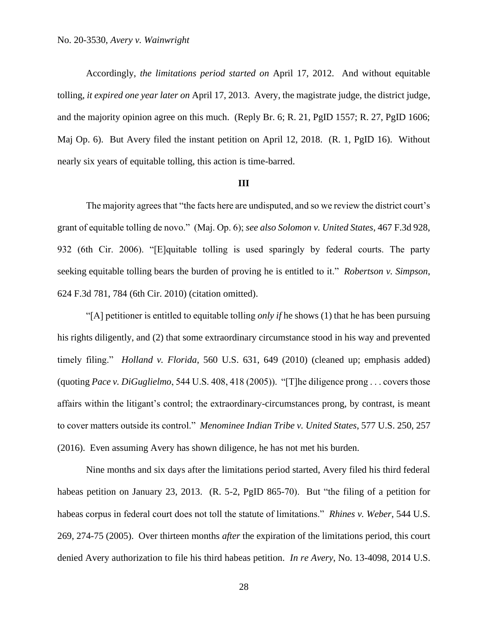Accordingly, *the limitations period started on* April 17, 2012. And without equitable tolling, *it expired one year later on* April 17, 2013. Avery, the magistrate judge, the district judge, and the majority opinion agree on this much. (Reply Br. 6; R. 21, PgID 1557; R. 27, PgID 1606; Maj Op. 6). But Avery filed the instant petition on April 12, 2018. (R. 1, PgID 16). Without nearly six years of equitable tolling, this action is time-barred.

#### **III**

The majority agrees that "the facts here are undisputed, and so we review the district court's grant of equitable tolling de novo." (Maj. Op. 6); *see also Solomon v. United States*, 467 F.3d 928, 932 (6th Cir. 2006). "[E]quitable tolling is used sparingly by federal courts. The party seeking equitable tolling bears the burden of proving he is entitled to it." *Robertson v. Simpson*, 624 F.3d 781, 784 (6th Cir. 2010) (citation omitted).

"[A] petitioner is entitled to equitable tolling *only if* he shows (1) that he has been pursuing his rights diligently, and (2) that some extraordinary circumstance stood in his way and prevented timely filing." *Holland v. Florida*, 560 U.S. 631, 649 (2010) (cleaned up; emphasis added) (quoting *Pace v. DiGuglielmo*, 544 U.S. 408, 418 (2005)). "[T]he diligence prong . . . covers those affairs within the litigant's control; the extraordinary-circumstances prong, by contrast, is meant to cover matters outside its control." *Menominee Indian Tribe v. United States*, 577 U.S. 250, 257 (2016). Even assuming Avery has shown diligence, he has not met his burden.

Nine months and six days after the limitations period started, Avery filed his third federal habeas petition on January 23, 2013. (R. 5-2, PgID 865-70). But "the filing of a petition for habeas corpus in federal court does not toll the statute of limitations." *Rhines v. Weber*, 544 U.S. 269, 274-75 (2005). Over thirteen months *after* the expiration of the limitations period, this court denied Avery authorization to file his third habeas petition. *In re Avery*, No. 13-4098, 2014 U.S.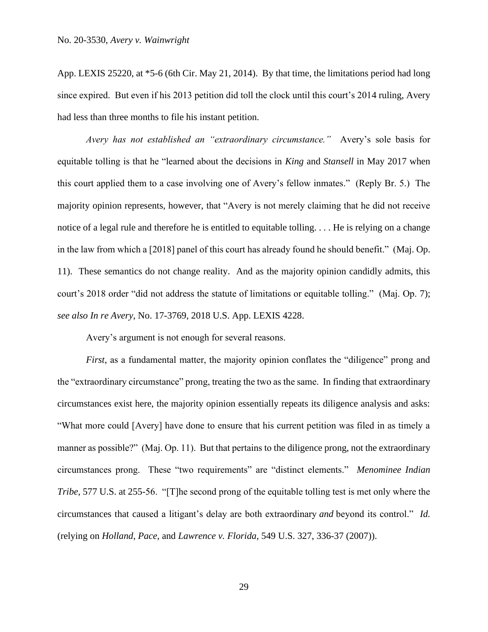App. LEXIS 25220, at \*5-6 (6th Cir. May 21, 2014). By that time, the limitations period had long since expired. But even if his 2013 petition did toll the clock until this court's 2014 ruling, Avery had less than three months to file his instant petition.

*Avery has not established an "extraordinary circumstance."* Avery's sole basis for equitable tolling is that he "learned about the decisions in *King* and *Stansell* in May 2017 when this court applied them to a case involving one of Avery's fellow inmates." (Reply Br. 5.) The majority opinion represents, however, that "Avery is not merely claiming that he did not receive notice of a legal rule and therefore he is entitled to equitable tolling. . . . He is relying on a change in the law from which a [2018] panel of this court has already found he should benefit." (Maj. Op. 11). These semantics do not change reality. And as the majority opinion candidly admits, this court's 2018 order "did not address the statute of limitations or equitable tolling." (Maj. Op. 7); *see also In re Avery*, No. 17-3769, 2018 U.S. App. LEXIS 4228.

Avery's argument is not enough for several reasons.

*First*, as a fundamental matter, the majority opinion conflates the "diligence" prong and the "extraordinary circumstance" prong, treating the two as the same. In finding that extraordinary circumstances exist here, the majority opinion essentially repeats its diligence analysis and asks: "What more could [Avery] have done to ensure that his current petition was filed in as timely a manner as possible?" (Maj. Op. 11). But that pertains to the diligence prong, not the extraordinary circumstances prong. These "two requirements" are "distinct elements." *Menominee Indian Tribe*, 577 U.S. at 255-56. "[T]he second prong of the equitable tolling test is met only where the circumstances that caused a litigant's delay are both extraordinary *and* beyond its control." *Id.*  (relying on *Holland*, *Pace*, and *Lawrence v. Florida*, 549 U.S. 327, 336-37 (2007)).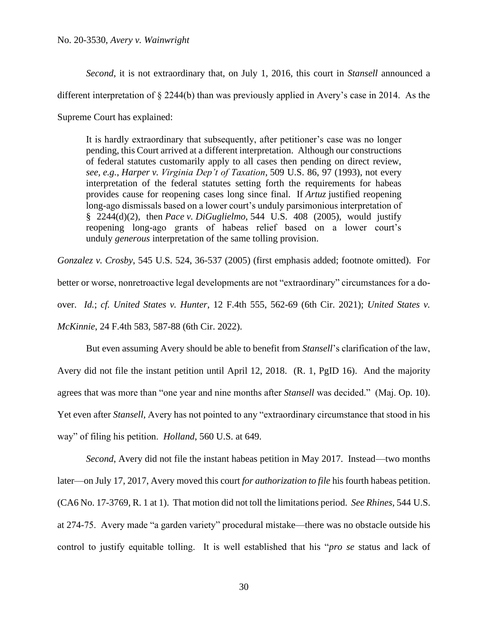*Second*, it is not extraordinary that, on July 1, 2016, this court in *Stansell* announced a different interpretation of § 2244(b) than was previously applied in Avery's case in 2014. As the Supreme Court has explained:

It is hardly extraordinary that subsequently, after petitioner's case was no longer pending, this Court arrived at a different interpretation. Although our constructions of federal statutes customarily apply to all cases then pending on direct review, *see, e.g.*, *Harper v. Virginia Dep't of Taxation*, 509 U.S. 86, 97 (1993), not every interpretation of the federal statutes setting forth the requirements for habeas provides cause for reopening cases long since final. If *Artuz* justified reopening long-ago dismissals based on a lower court's unduly parsimonious interpretation of § 2244(d)(2), then *Pace v. DiGuglielmo*, 544 U.S. 408 (2005), would justify reopening long-ago grants of habeas relief based on a lower court's unduly *generous* interpretation of the same tolling provision.

*Gonzalez v. Crosby*, 545 U.S. 524, 36-537 (2005) (first emphasis added; footnote omitted). For better or worse, nonretroactive legal developments are not "extraordinary" circumstances for a doover. *Id.*; *cf. United States v. Hunter*, 12 F.4th 555, 562-69 (6th Cir. 2021); *United States v. McKinnie*, 24 F.4th 583, 587-88 (6th Cir. 2022).

But even assuming Avery should be able to benefit from *Stansell*'s clarification of the law, Avery did not file the instant petition until April 12, 2018. (R. 1, PgID 16). And the majority agrees that was more than "one year and nine months after *Stansell* was decided." (Maj. Op. 10). Yet even after *Stansell*, Avery has not pointed to any "extraordinary circumstance that stood in his way" of filing his petition. *Holland*, 560 U.S. at 649.

*Second*, Avery did not file the instant habeas petition in May 2017. Instead—two months later—on July 17, 2017, Avery moved this court *for authorization to file* his fourth habeas petition. (CA6 No. 17-3769, R. 1 at 1). That motion did not toll the limitations period. *See Rhines*, 544 U.S. at 274-75. Avery made "a garden variety" procedural mistake—there was no obstacle outside his control to justify equitable tolling. It is well established that his "*pro se* status and lack of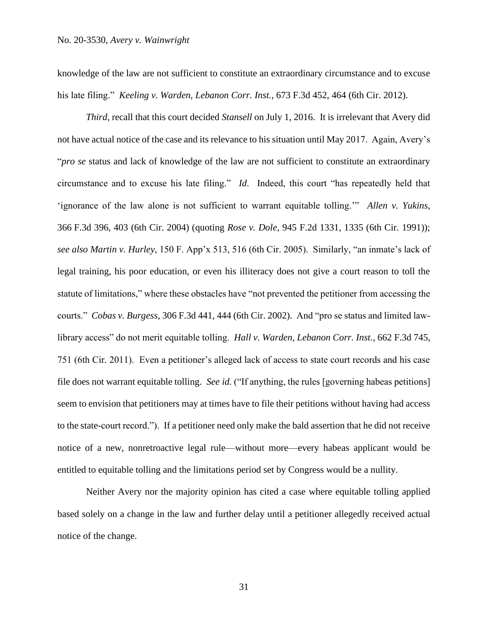knowledge of the law are not sufficient to constitute an extraordinary circumstance and to excuse his late filing." *Keeling v. Warden, Lebanon Corr. Inst.*, 673 F.3d 452, 464 (6th Cir. 2012).

*Third*, recall that this court decided *Stansell* on July 1, 2016. It is irrelevant that Avery did not have actual notice of the case and its relevance to his situation until May 2017. Again, Avery's "*pro se* status and lack of knowledge of the law are not sufficient to constitute an extraordinary circumstance and to excuse his late filing." *Id*. Indeed, this court "has repeatedly held that 'ignorance of the law alone is not sufficient to warrant equitable tolling.'" *Allen v. Yukins*, 366 F.3d 396, 403 (6th Cir. 2004) (quoting *Rose v. Dole*, 945 F.2d 1331, 1335 (6th Cir. 1991)); *see also Martin v. Hurley*, 150 F. App'x 513, 516 (6th Cir. 2005). Similarly, "an inmate's lack of legal training, his poor education, or even his illiteracy does not give a court reason to toll the statute of limitations," where these obstacles have "not prevented the petitioner from accessing the courts." *Cobas v. Burgess*, 306 F.3d 441, 444 (6th Cir. 2002). And "pro se status and limited lawlibrary access" do not merit equitable tolling. *Hall v. Warden, Lebanon Corr. Inst.*, 662 F.3d 745, 751 (6th Cir. 2011). Even a petitioner's alleged lack of access to state court records and his case file does not warrant equitable tolling. *See id.* ("If anything, the rules [governing habeas petitions] seem to envision that petitioners may at times have to file their petitions without having had access to the state-court record."). If a petitioner need only make the bald assertion that he did not receive notice of a new, nonretroactive legal rule—without more—every habeas applicant would be entitled to equitable tolling and the limitations period set by Congress would be a nullity.

Neither Avery nor the majority opinion has cited a case where equitable tolling applied based solely on a change in the law and further delay until a petitioner allegedly received actual notice of the change.

31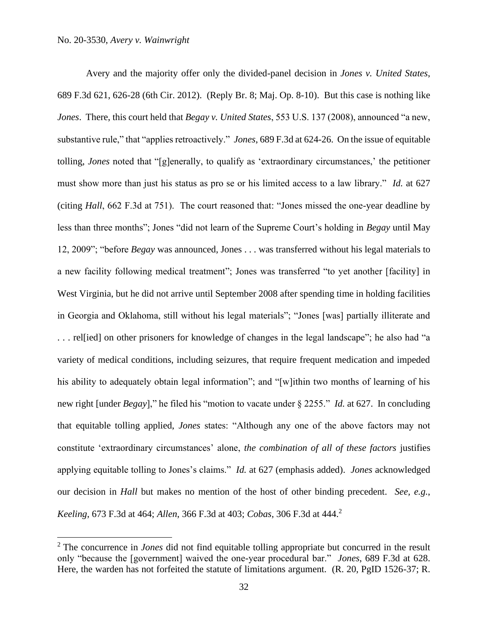Avery and the majority offer only the divided-panel decision in *Jones v. United States*, 689 F.3d 621, 626-28 (6th Cir. 2012). (Reply Br. 8; Maj. Op. 8-10). But this case is nothing like *Jones*. There, this court held that *Begay v. United States*, 553 U.S. 137 (2008), announced "a new, substantive rule," that "applies retroactively." *Jones*, 689 F.3d at 624-26. On the issue of equitable tolling, *Jones* noted that "[g]enerally, to qualify as 'extraordinary circumstances,' the petitioner must show more than just his status as pro se or his limited access to a law library." *Id.* at 627 (citing *Hall*, 662 F.3d at 751). The court reasoned that: "Jones missed the one-year deadline by less than three months"; Jones "did not learn of the Supreme Court's holding in *Begay* until May 12, 2009"; "before *Begay* was announced, Jones . . . was transferred without his legal materials to a new facility following medical treatment"; Jones was transferred "to yet another [facility] in West Virginia, but he did not arrive until September 2008 after spending time in holding facilities in Georgia and Oklahoma, still without his legal materials"; "Jones [was] partially illiterate and . . . rel[ied] on other prisoners for knowledge of changes in the legal landscape"; he also had "a variety of medical conditions, including seizures, that require frequent medication and impeded his ability to adequately obtain legal information"; and "[w]ithin two months of learning of his new right [under *Begay*]," he filed his "motion to vacate under § 2255." *Id.* at 627. In concluding that equitable tolling applied, *Jones* states: "Although any one of the above factors may not constitute 'extraordinary circumstances' alone, *the combination of all of these factors* justifies applying equitable tolling to Jones's claims." *Id.* at 627 (emphasis added). *Jones* acknowledged our decision in *Hall* but makes no mention of the host of other binding precedent. *See, e.g.*, *Keeling*, 673 F.3d at 464; *Allen*, 366 F.3d at 403; *Cobas*, 306 F.3d at 444.<sup>2</sup>

<sup>2</sup> The concurrence in *Jones* did not find equitable tolling appropriate but concurred in the result only "because the [government] waived the one-year procedural bar." *Jones*, 689 F.3d at 628. Here, the warden has not forfeited the statute of limitations argument. (R. 20, PgID 1526-37; R.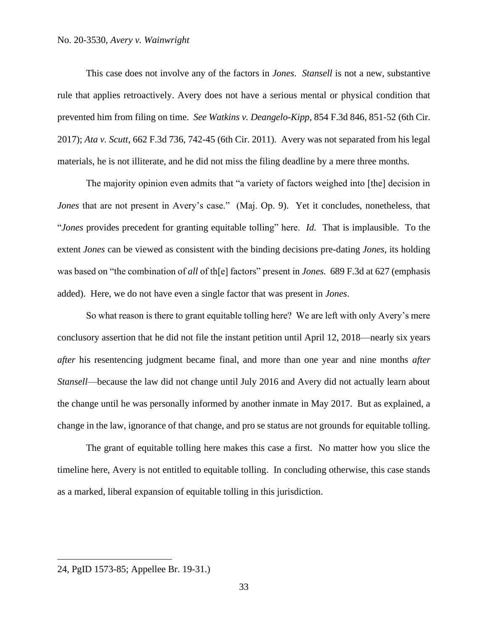This case does not involve any of the factors in *Jones*. *Stansell* is not a new, substantive rule that applies retroactively. Avery does not have a serious mental or physical condition that prevented him from filing on time. *See Watkins v. Deangelo-Kipp*, 854 F.3d 846, 851-52 (6th Cir. 2017); *Ata v. Scutt*, 662 F.3d 736, 742-45 (6th Cir. 2011). Avery was not separated from his legal materials, he is not illiterate, and he did not miss the filing deadline by a mere three months.

The majority opinion even admits that "a variety of factors weighed into [the] decision in *Jones* that are not present in Avery's case." (Maj. Op. 9). Yet it concludes, nonetheless, that "*Jones* provides precedent for granting equitable tolling" here. *Id.* That is implausible. To the extent *Jones* can be viewed as consistent with the binding decisions pre-dating *Jones*, its holding was based on "the combination of *all* of th[e] factors" present in *Jones.* 689 F.3d at 627 (emphasis added). Here, we do not have even a single factor that was present in *Jones*.

So what reason is there to grant equitable tolling here? We are left with only Avery's mere conclusory assertion that he did not file the instant petition until April 12, 2018—nearly six years *after* his resentencing judgment became final, and more than one year and nine months *after Stansell*—because the law did not change until July 2016 and Avery did not actually learn about the change until he was personally informed by another inmate in May 2017. But as explained, a change in the law, ignorance of that change, and pro se status are not grounds for equitable tolling.

The grant of equitable tolling here makes this case a first. No matter how you slice the timeline here, Avery is not entitled to equitable tolling. In concluding otherwise, this case stands as a marked, liberal expansion of equitable tolling in this jurisdiction.

<sup>24,</sup> PgID 1573-85; Appellee Br. 19-31.)